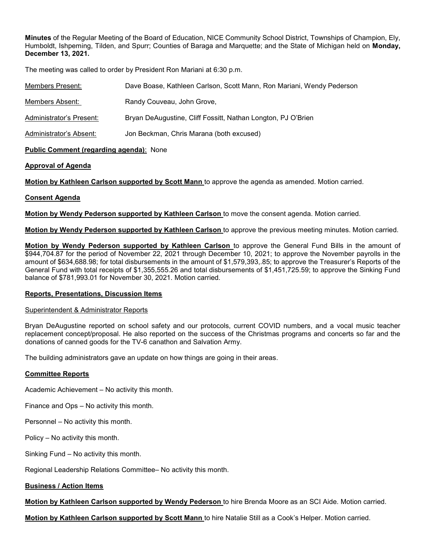Minutes of the Regular Meeting of the Board of Education, NICE Community School District, Townships of Champion, Ely, Humboldt, Ishpeming, Tilden, and Spurr; Counties of Baraga and Marquette; and the State of Michigan held on Monday, December 13, 2021.

The meeting was called to order by President Ron Mariani at 6:30 p.m.

| Members Present:         | Dave Boase, Kathleen Carlson, Scott Mann, Ron Mariani, Wendy Pederson |
|--------------------------|-----------------------------------------------------------------------|
| Members Absent:          | Randy Couveau, John Grove,                                            |
| Administrator's Present: | Bryan DeAugustine, Cliff Fossitt, Nathan Longton, PJ O'Brien          |
| Administrator's Absent:  | Jon Beckman, Chris Marana (both excused)                              |

## Public Comment (regarding agenda): None

# Approval of Agenda

Motion by Kathleen Carlson supported by Scott Mann to approve the agenda as amended. Motion carried.

# Consent Agenda

Motion by Wendy Pederson supported by Kathleen Carlson to move the consent agenda. Motion carried.

Motion by Wendy Pederson supported by Kathleen Carlson to approve the previous meeting minutes. Motion carried.

Motion by Wendy Pederson supported by Kathleen Carlson to approve the General Fund Bills in the amount of \$944,704.87 for the period of November 22, 2021 through December 10, 2021; to approve the November payrolls in the amount of \$634,688.98; for total disbursements in the amount of \$1,579,393,.85; to approve the Treasurer's Reports of the General Fund with total receipts of \$1,355,555.26 and total disbursements of \$1,451,725.59; to approve the Sinking Fund balance of \$781,993.01 for November 30, 2021. Motion carried.

## Reports, Presentations, Discussion Items

## Superintendent & Administrator Reports

Bryan DeAugustine reported on school safety and our protocols, current COVID numbers, and a vocal music teacher replacement concept/proposal. He also reported on the success of the Christmas programs and concerts so far and the donations of canned goods for the TV-6 canathon and Salvation Army.

The building administrators gave an update on how things are going in their areas.

## Committee Reports

Academic Achievement – No activity this month.

- Finance and Ops No activity this month.
- Personnel No activity this month.
- Policy No activity this month.
- Sinking Fund No activity this month.

Regional Leadership Relations Committee– No activity this month.

## **Business / Action Items**

Motion by Kathleen Carlson supported by Wendy Pederson to hire Brenda Moore as an SCI Aide. Motion carried.

Motion by Kathleen Carlson supported by Scott Mann to hire Natalie Still as a Cook's Helper. Motion carried.